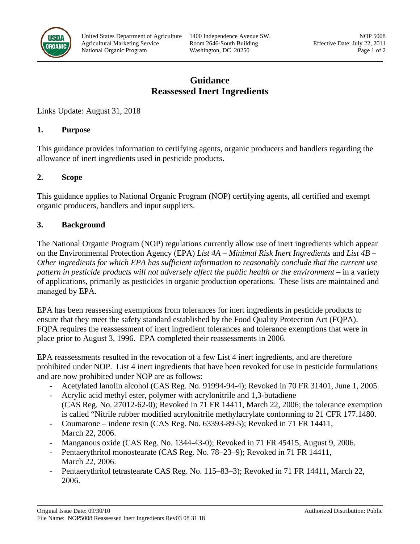

# **Guidance Reassessed Inert Ingredients**

Links Update: August 31, 2018

## **1. Purpose**

This guidance provides information to certifying agents, organic producers and handlers regarding the allowance of inert ingredients used in pesticide products.

# **2. Scope**

This guidance applies to National Organic Program (NOP) certifying agents, all certified and exempt organic producers, handlers and input suppliers.

# **3. Background**

The National Organic Program (NOP) regulations currently allow use of inert ingredients which appear on the Environmental Protection Agency (EPA) *List 4A – Minimal Risk Inert Ingredients* and *List 4B – Other ingredients for which EPA has sufficient information to reasonably conclude that the current use pattern in pesticide products will not adversely affect the public health or the environment* – in a variety of applications, primarily as pesticides in organic production operations. These lists are maintained and managed by EPA.

EPA has been reassessing exemptions from tolerances for inert ingredients in pesticide products to ensure that they meet the safety standard established by the Food Quality Protection Act (FQPA). FQPA requires the reassessment of inert ingredient tolerances and tolerance exemptions that were in place prior to August 3, 1996. EPA completed their reassessments in 2006.

EPA reassessments resulted in the revocation of a few List 4 inert ingredients, and are therefore prohibited under NOP. List 4 inert ingredients that have been revoked for use in pesticide formulations and are now prohibited under NOP are as follows:

- Acetylated lanolin alcohol (CAS Reg. No. 91994-94-4); Revoked in 70 FR 31401, June 1, 2005.
- Acrylic acid methyl ester, polymer with acrylonitrile and 1,3-butadiene (CAS Reg. No. 27012-62-0); Revoked in 71 FR 14411, March 22, 2006; the tolerance exemption is called "Nitrile rubber modified acrylonitrile methylacrylate conforming to 21 CFR 177.1480.
- Coumarone indene resin (CAS Reg. No. 63393-89-5); Revoked in 71 FR 14411, March 22, 2006.
- Manganous oxide (CAS Reg. No. 1344-43-0); Revoked in 71 FR 45415, August 9, 2006.
- Pentaerythritol monostearate (CAS Reg. No. 78–23–9); Revoked in 71 FR 14411, March 22, 2006.
- Pentaerythritol tetrastearate CAS Reg. No. 115–83–3); Revoked in 71 FR 14411, March 22, 2006.